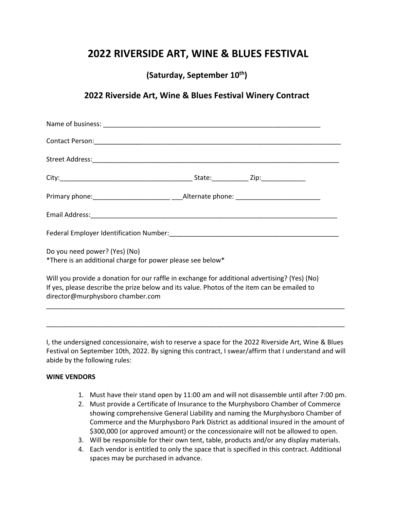## **2022 RIVERSIDE ART, WINE & BLUES FESTIVAL**

**(Saturday, September 10th)**

## **2022 Riverside Art, Wine & Blues Festival Winery Contract**

| Do you need power? (Yes) (No)<br>*There is an additional charge for power please see below*                                                                                                                                      |  |  |
|----------------------------------------------------------------------------------------------------------------------------------------------------------------------------------------------------------------------------------|--|--|
| Will you provide a donation for our raffle in exchange for additional advertising? (Yes) (No)<br>If yes, please describe the prize below and its value. Photos of the item can be emailed to<br>director@murphysboro chamber.com |  |  |

I, the undersigned concessionaire, wish to reserve a space for the 2022 Riverside Art, Wine & Blues Festival on September 10th, 2022. By signing this contract, I swear/affirm that I understand and will abide by the following rules:

\_\_\_\_\_\_\_\_\_\_\_\_\_\_\_\_\_\_\_\_\_\_\_\_\_\_\_\_\_\_\_\_\_\_\_\_\_\_\_\_\_\_\_\_\_\_\_\_\_\_\_\_\_\_\_\_\_\_\_\_\_\_\_\_\_\_\_\_\_\_\_\_\_\_\_\_\_\_\_\_\_

## **WINE VENDORS**

- 1. Must have their stand open by 11:00 am and will not disassemble until after 7:00 pm.
- 2. Must provide a Certificate of Insurance to the Murphysboro Chamber of Commerce showing comprehensive General Liability and naming the Murphysboro Chamber of Commerce and the Murphysboro Park District as additional insured in the amount of \$300,000 (or approved amount) or the concessionaire will not be allowed to open.
- 3. Will be responsible for their own tent, table, products and/or any display materials.
- 4. Each vendor is entitled to only the space that is specified in this contract. Additional spaces may be purchased in advance.